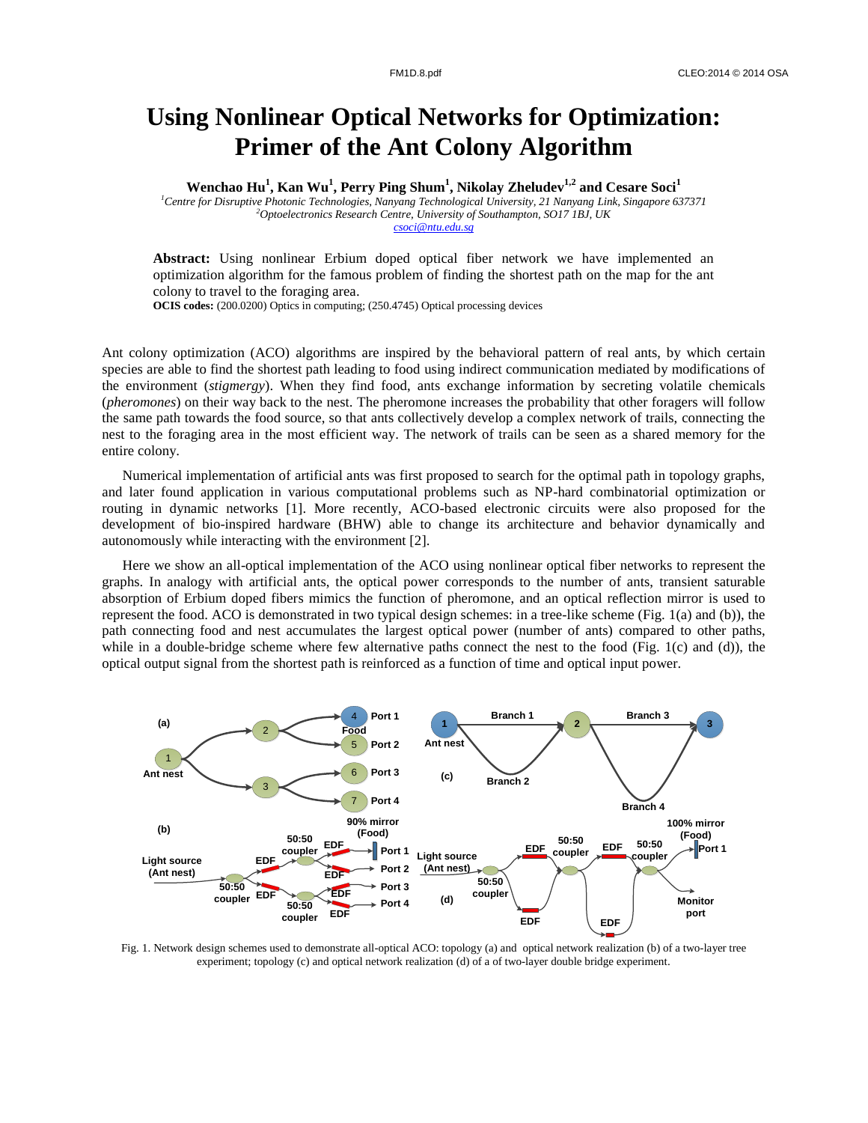## **Using Nonlinear Optical Networks for Optimization: Primer of the Ant Colony Algorithm**

**Wenchao Hu<sup>1</sup> , Kan Wu<sup>1</sup> , Perry Ping Shum<sup>1</sup> , Nikolay Zheludev1,2 and Cesare Soci<sup>1</sup>**

*<sup>1</sup>Centre for Disruptive Photonic Technologies, Nanyang Technological University, 21 Nanyang Link, Singapore 637371 <sup>2</sup>Optoelectronics Research Centre, University of Southampton, SO17 1BJ, UK csoci@ntu.edu.sg*

**Abstract:** Using nonlinear Erbium doped optical fiber network we have implemented an optimization algorithm for the famous problem of finding the shortest path on the map for the ant colony to travel to the foraging area.

**OCIS codes:** (200.0200) Optics in computing; (250.4745) Optical processing devices

Ant colony optimization (ACO) algorithms are inspired by the behavioral pattern of real ants, by which certain species are able to find the shortest path leading to food using indirect communication mediated by modifications of the environment (*stigmergy*). When they find food, ants exchange information by secreting volatile chemicals (*pheromones*) on their way back to the nest. The pheromone increases the probability that other foragers will follow the same path towards the food source, so that ants collectively develop a complex network of trails, connecting the nest to the foraging area in the most efficient way. The network of trails can be seen as a shared memory for the entire colony.

Numerical implementation of artificial ants was first proposed to search for the optimal path in topology graphs, and later found application in various computational problems such as NP-hard combinatorial optimization or routing in dynamic networks [1]. More recently, ACO-based electronic circuits were also proposed for the development of bio-inspired hardware (BHW) able to change its architecture and behavior dynamically and autonomously while interacting with the environment [2].

Here we show an all-optical implementation of the ACO using nonlinear optical fiber networks to represent the graphs. In analogy with artificial ants, the optical power corresponds to the number of ants, transient saturable absorption of Erbium doped fibers mimics the function of pheromone, and an optical reflection mirror is used to represent the food. ACO is demonstrated in two typical design schemes: in a tree-like scheme (Fig. 1(a) and (b)), the path connecting food and nest accumulates the largest optical power (number of ants) compared to other paths, while in a double-bridge scheme where few alternative paths connect the nest to the food (Fig. 1(c) and (d)), the optical output signal from the shortest path is reinforced as a function of time and optical input power.



Fig. 1. Network design schemes used to demonstrate all-optical ACO: topology (a) and optical network realization (b) of a two-layer tree experiment; topology (c) and optical network realization (d) of a of two-layer double bridge experiment.